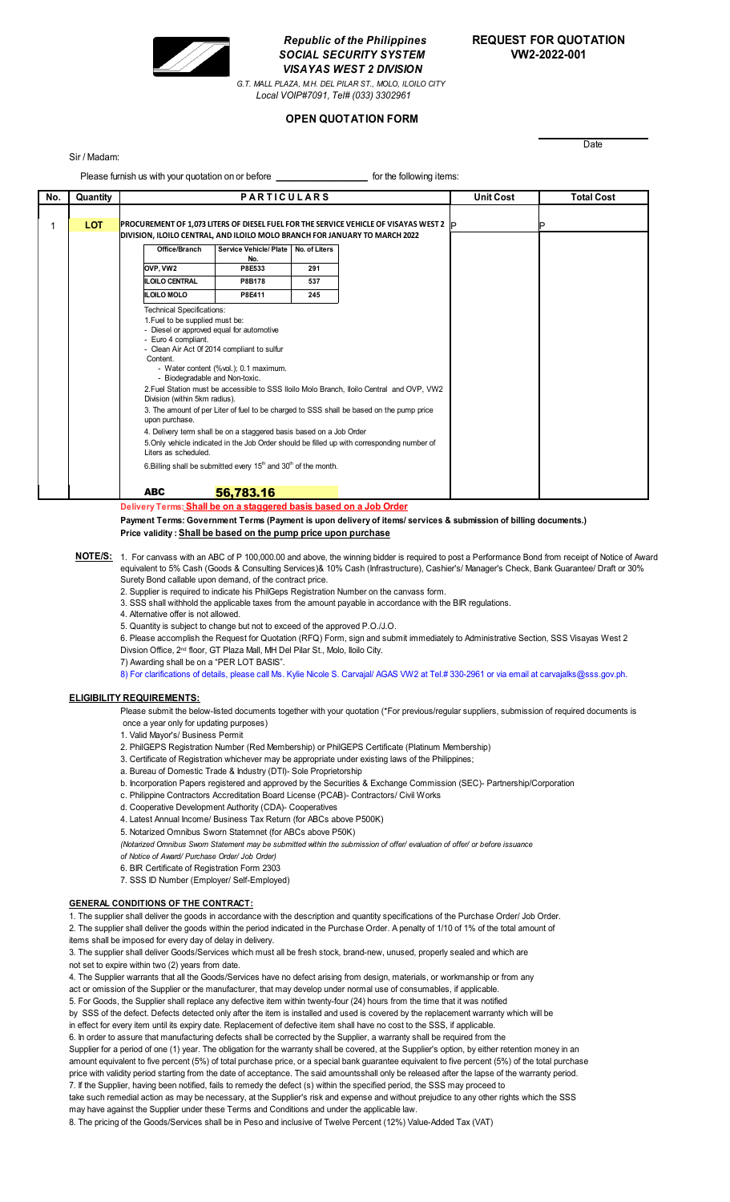

# *Republic of the Philippines* **REQUEST FOR QUOTATION** *SOCIAL SECURITY SYSTEM* **VW2-2022-001** *VISAYAS WEST 2 DIVISION*

*G.T. MALL PLAZA, M.H. DEL PILAR ST., MOLO, ILOILO CITY Local VOIP#7091, Tel# (033) 3302961*

## **OPEN QUOTATION FORM**

#### Sir / Madam:

**Date** 

| Please furnish us with your quotation on or before <b>Example 20</b> for the following items: |            |                                                                                                                                                                                                                                                                                                                                                                                                                                                                                                                                                                                                                                                                                                                                                                                                                                                                                                 |  |  |  |                  |                   |  |
|-----------------------------------------------------------------------------------------------|------------|-------------------------------------------------------------------------------------------------------------------------------------------------------------------------------------------------------------------------------------------------------------------------------------------------------------------------------------------------------------------------------------------------------------------------------------------------------------------------------------------------------------------------------------------------------------------------------------------------------------------------------------------------------------------------------------------------------------------------------------------------------------------------------------------------------------------------------------------------------------------------------------------------|--|--|--|------------------|-------------------|--|
| No.                                                                                           | Quantity   | <b>PARTICULARS</b>                                                                                                                                                                                                                                                                                                                                                                                                                                                                                                                                                                                                                                                                                                                                                                                                                                                                              |  |  |  | <b>Unit Cost</b> | <b>Total Cost</b> |  |
|                                                                                               | <b>LOT</b> | <b>PROCUREMENT OF 1,073 LITERS OF DIESEL FUEL FOR THE SERVICE VEHICLE OF VISAYAS WEST 2</b> $ P $<br>DIVISION, ILOILO CENTRAL, AND ILOILO MOLO BRANCH FOR JANUARY TO MARCH 2022<br>Office/Branch<br>Service Vehicle/ Plate<br>No. of Liters<br>No.<br>OVP, VW2<br>P8E533<br>291<br><b>ILOILO CENTRAL</b><br>P8B178<br>537<br><b>ILOILO MOLO</b><br>P8E411<br>245                                                                                                                                                                                                                                                                                                                                                                                                                                                                                                                                |  |  |  |                  |                   |  |
|                                                                                               |            | <b>Technical Specifications:</b><br>1. Fuel to be supplied must be:<br>- Diesel or approved equal for automotive<br>- Euro 4 compliant.<br>- Clean Air Act 0f 2014 compliant to sulfur<br>Content.<br>- Water content (%vol.); 0.1 maximum.<br>- Biodegradable and Non-toxic.<br>2. Fuel Station must be accessible to SSS Iloilo Molo Branch, Iloilo Central and OVP, VW2<br>Division (within 5km radius).<br>3. The amount of per Liter of fuel to be charged to SSS shall be based on the pump price<br>upon purchase.<br>4. Delivery term shall be on a staggered basis based on a Job Order<br>5. Only vehicle indicated in the Job Order should be filled up with corresponding number of<br>Liters as scheduled.<br>6. Billing shall be submitted every $15th$ and $30th$ of the month.<br><b>ABC</b><br>56,783.16<br>Delivery Terme: Shall he on a staggered basis based on a Job Order |  |  |  |                  |                   |  |
|                                                                                               |            |                                                                                                                                                                                                                                                                                                                                                                                                                                                                                                                                                                                                                                                                                                                                                                                                                                                                                                 |  |  |  |                  |                   |  |

**Delivery Terms: Shall be on a staggered basis based on a Job Order**

**Payment Terms: Government Terms (Payment is upon delivery of items/ services & submission of billing documents.)**

**Price validity : Shall be based on the pump price upon purchase**

- **NOTE/S:** 1. For canvass with an ABC of P 100,000.00 and above, the winning bidder is required to post a Performance Bond from receipt of Notice of Award equivalent to 5% Cash (Goods & Consulting Services)& 10% Cash (Infrastructure), Cashier's/ Manager's Check, Bank Guarantee/ Draft or 30% Surety Bond callable upon demand, of the contract price.
	- 2. Supplier is required to indicate his PhilGeps Registration Number on the canvass form.

3. SSS shall withhold the applicable taxes from the amount payable in accordance with the BIR regulations.

4. Alternative offer is not allowed.

- 5. Quantity is subject to change but not to exceed of the approved P.O./J.O.
- 6. Please accomplish the Request for Quotation (RFQ) Form, sign and submit immediately to Administrative Section, SSS Visayas West 2 Divsion Office, 2<sup>nd</sup> floor, GT Plaza Mall, MH Del Pilar St., Molo, Iloilo City.

7) Awarding shall be on a "PER LOT BASIS".

8) For clarifications of details, please call Ms. Kylie Nicole S. Carvajal/ AGAS VW2 at Tel.# 330-2961 or via email at carvajalks@sss.gov.ph.

#### **ELIGIBILITY REQUIREMENTS:**

Please submit the below-listed documents together with your quotation (\*For previous/regular suppliers, submission of required documents is once a year only for updating purposes)

1. Valid Mayor's/ Business Permit

- 2. PhilGEPS Registration Number (Red Membership) or PhilGEPS Certificate (Platinum Membership)
- 3. Certificate of Registration whichever may be appropriate under existing laws of the Philippines;
- a. Bureau of Domestic Trade & Industry (DTI)- Sole Proprietorship
- b. Incorporation Papers registered and approved by the Securities & Exchange Commission (SEC)- Partnership/Corporation
- c. Philippine Contractors Accreditation Board License (PCAB)- Contractors/ Civil Works
- d. Cooperative Development Authority (CDA)- Cooperatives
- 4. Latest Annual Income/ Business Tax Return (for ABCs above P500K)
- 5. Notarized Omnibus Sworn Statemnet (for ABCs above P50K)
- *(Notarized Omnibus Sworn Statement may be submitted within the submission of offer/ evaluation of offer/ or before issuance*
- *of Notice of Award/ Purchase Order/ Job Order)*
- 6. BIR Certificate of Registration Form 2303
- 7. SSS ID Number (Employer/ Self-Employed)

#### **GENERAL CONDITIONS OF THE CONTRACT:**

1. The supplier shall deliver the goods in accordance with the description and quantity specifications of the Purchase Order/ Job Order. 2. The supplier shall deliver the goods within the period indicated in the Purchase Order. A penalty of 1/10 of 1% of the total amount of

items shall be imposed for every day of delay in delivery.

3. The supplier shall deliver Goods/Services which must all be fresh stock, brand-new, unused, properly sealed and which are not set to expire within two (2) years from date.

4. The Supplier warrants that all the Goods/Services have no defect arising from design, materials, or workmanship or from any

act or omission of the Supplier or the manufacturer, that may develop under normal use of consumables, if applicable.

5. For Goods, the Supplier shall replace any defective item within twenty-four (24) hours from the time that it was notified

by SSS of the defect. Defects detected only after the item is installed and used is covered by the replacement warranty which will be

in effect for every item until its expiry date. Replacement of defective item shall have no cost to the SSS, if applicable. 6. In order to assure that manufacturing defects shall be corrected by the Supplier, a warranty shall be required from the

Supplier for a period of one (1) year. The obligation for the warranty shall be covered, at the Supplier's option, by either retention money in an amount equivalent to five percent (5%) of total purchase price, or a special bank guarantee equivalent to five percent (5%) of the total purchase price with validity period starting from the date of acceptance. The said amountsshall only be released after the lapse of the warranty period.

7. If the Supplier, having been notified, fails to remedy the defect (s) within the specified period, the SSS may proceed to take such remedial action as may be necessary, at the Supplier's risk and expense and without prejudice to any other rights which the SSS may have against the Supplier under these Terms and Conditions and under the applicable law.

8. The pricing of the Goods/Services shall be in Peso and inclusive of Twelve Percent (12%) Value-Added Tax (VAT)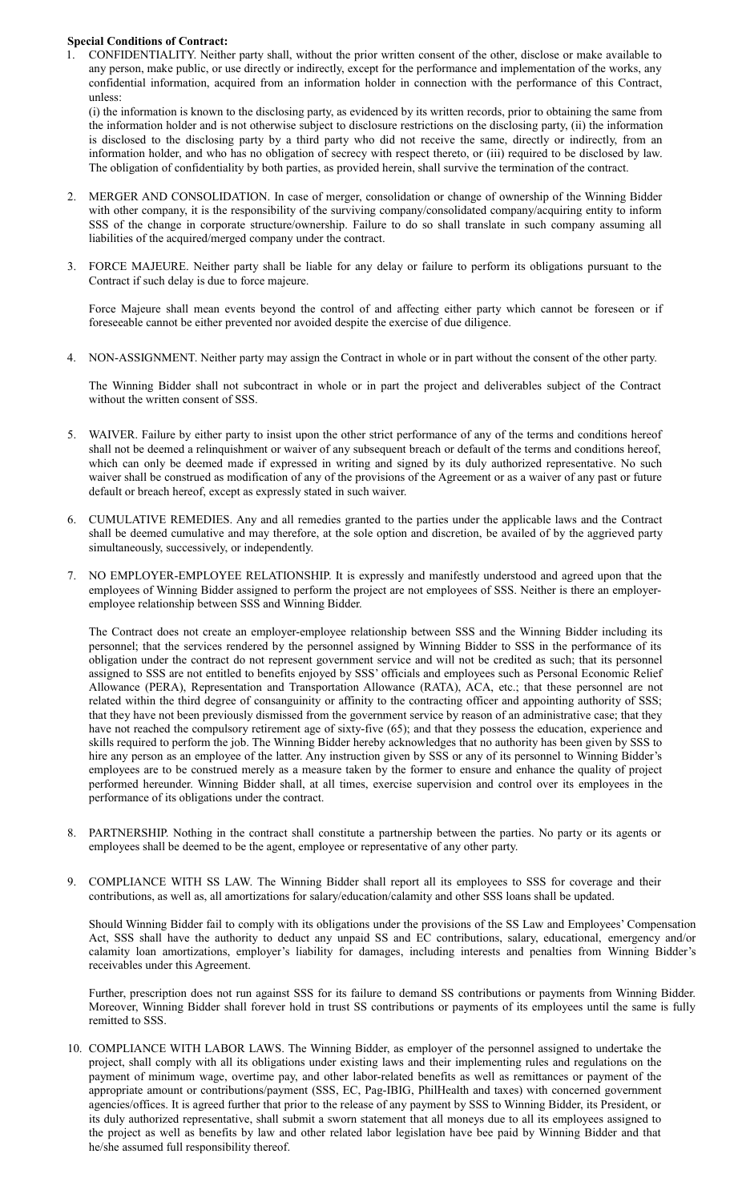### **Special Conditions of Contract:**

1. CONFIDENTIALITY. Neither party shall, without the prior written consent of the other, disclose or make available to any person, make public, or use directly or indirectly, except for the performance and implementation of the works, any confidential information, acquired from an information holder in connection with the performance of this Contract, unless:

(i) the information is known to the disclosing party, as evidenced by its written records, prior to obtaining the same from the information holder and is not otherwise subject to disclosure restrictions on the disclosing party, (ii) the information is disclosed to the disclosing party by a third party who did not receive the same, directly or indirectly, from an information holder, and who has no obligation of secrecy with respect thereto, or (iii) required to be disclosed by law. The obligation of confidentiality by both parties, as provided herein, shall survive the termination of the contract.

- 2. MERGER AND CONSOLIDATION. In case of merger, consolidation or change of ownership of the Winning Bidder with other company, it is the responsibility of the surviving company/consolidated company/acquiring entity to inform SSS of the change in corporate structure/ownership. Failure to do so shall translate in such company assuming all liabilities of the acquired/merged company under the contract.
- 3. FORCE MAJEURE. Neither party shall be liable for any delay or failure to perform its obligations pursuant to the Contract if such delay is due to force majeure.

Force Majeure shall mean events beyond the control of and affecting either party which cannot be foreseen or if foreseeable cannot be either prevented nor avoided despite the exercise of due diligence.

4. NON-ASSIGNMENT. Neither party may assign the Contract in whole or in part without the consent of the other party.

The Winning Bidder shall not subcontract in whole or in part the project and deliverables subject of the Contract without the written consent of SSS.

- 5. WAIVER. Failure by either party to insist upon the other strict performance of any of the terms and conditions hereof shall not be deemed a relinquishment or waiver of any subsequent breach or default of the terms and conditions hereof, which can only be deemed made if expressed in writing and signed by its duly authorized representative. No such waiver shall be construed as modification of any of the provisions of the Agreement or as a waiver of any past or future default or breach hereof, except as expressly stated in such waiver.
- 6. CUMULATIVE REMEDIES. Any and all remedies granted to the parties under the applicable laws and the Contract shall be deemed cumulative and may therefore, at the sole option and discretion, be availed of by the aggrieved party simultaneously, successively, or independently.
- 7. NO EMPLOYER-EMPLOYEE RELATIONSHIP. It is expressly and manifestly understood and agreed upon that the employees of Winning Bidder assigned to perform the project are not employees of SSS. Neither is there an employeremployee relationship between SSS and Winning Bidder.

The Contract does not create an employer-employee relationship between SSS and the Winning Bidder including its personnel; that the services rendered by the personnel assigned by Winning Bidder to SSS in the performance of its obligation under the contract do not represent government service and will not be credited as such; that its personnel assigned to SSS are not entitled to benefits enjoyed by SSS' officials and employees such as Personal Economic Relief Allowance (PERA), Representation and Transportation Allowance (RATA), ACA, etc.; that these personnel are not related within the third degree of consanguinity or affinity to the contracting officer and appointing authority of SSS; that they have not been previously dismissed from the government service by reason of an administrative case; that they have not reached the compulsory retirement age of sixty-five (65); and that they possess the education, experience and skills required to perform the job. The Winning Bidder hereby acknowledges that no authority has been given by SSS to hire any person as an employee of the latter. Any instruction given by SSS or any of its personnel to Winning Bidder's employees are to be construed merely as a measure taken by the former to ensure and enhance the quality of project performed hereunder. Winning Bidder shall, at all times, exercise supervision and control over its employees in the performance of its obligations under the contract.

- 8. PARTNERSHIP. Nothing in the contract shall constitute a partnership between the parties. No party or its agents or employees shall be deemed to be the agent, employee or representative of any other party.
- 9. COMPLIANCE WITH SS LAW. The Winning Bidder shall report all its employees to SSS for coverage and their contributions, as well as, all amortizations for salary/education/calamity and other SSS loans shall be updated.

Should Winning Bidder fail to comply with its obligations under the provisions of the SS Law and Employees' Compensation Act, SSS shall have the authority to deduct any unpaid SS and EC contributions, salary, educational, emergency and/or calamity loan amortizations, employer's liability for damages, including interests and penalties from Winning Bidder's receivables under this Agreement.

Further, prescription does not run against SSS for its failure to demand SS contributions or payments from Winning Bidder. Moreover, Winning Bidder shall forever hold in trust SS contributions or payments of its employees until the same is fully remitted to SSS.

10. COMPLIANCE WITH LABOR LAWS. The Winning Bidder, as employer of the personnel assigned to undertake the project, shall comply with all its obligations under existing laws and their implementing rules and regulations on the payment of minimum wage, overtime pay, and other labor-related benefits as well as remittances or payment of the appropriate amount or contributions/payment (SSS, EC, Pag-IBIG, PhilHealth and taxes) with concerned government agencies/offices. It is agreed further that prior to the release of any payment by SSS to Winning Bidder, its President, or its duly authorized representative, shall submit a sworn statement that all moneys due to all its employees assigned to the project as well as benefits by law and other related labor legislation have bee paid by Winning Bidder and that he/she assumed full responsibility thereof.